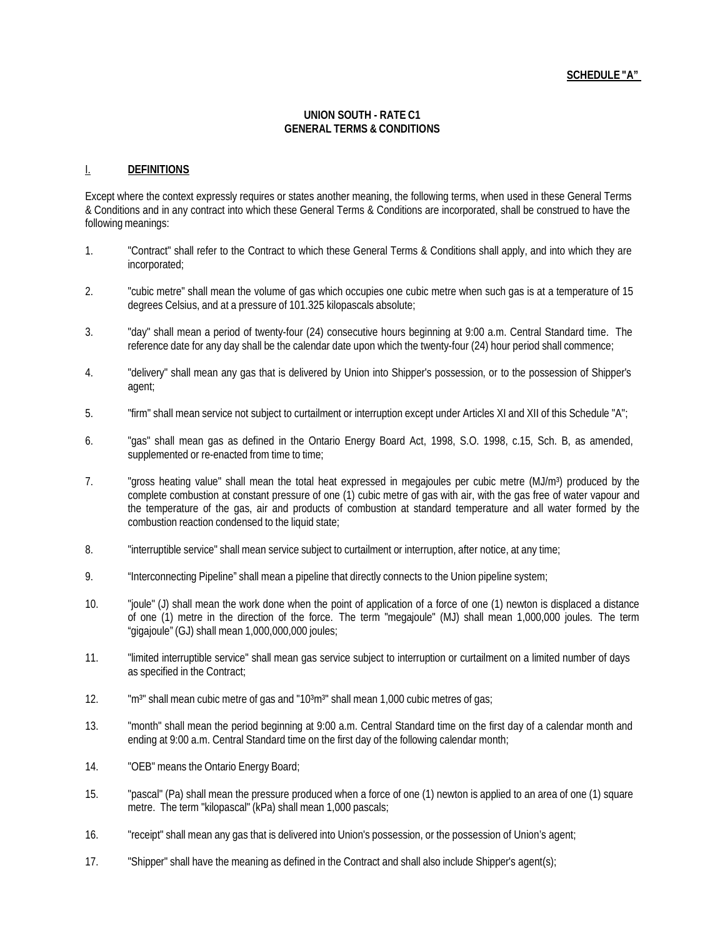#### **SCHEDULE "A"**

#### **UNION SOUTH - RATE C1 GENERAL TERMS & CONDITIONS**

#### I. **DEFINITIONS**

Except where the context expressly requires or states another meaning, the following terms, when used in these General Terms & Conditions and in any contract into which these General Terms & Conditions are incorporated, shall be construed to have the following meanings:

- 1. "Contract" shall refer to the Contract to which these General Terms & Conditions shall apply, and into which they are incorporated;
- 2. "cubic metre" shall mean the volume of gas which occupies one cubic metre when such gas is at a temperature of 15 degrees Celsius, and at a pressure of 101.325 kilopascals absolute;
- 3. "day" shall mean a period of twenty-four (24) consecutive hours beginning at 9:00 a.m. Central Standard time. The reference date for any day shall be the calendar date upon which the twenty-four (24) hour period shall commence;
- 4. "delivery" shall mean any gas that is delivered by Union into Shipper's possession, or to the possession of Shipper's agent;
- 5. "firm" shall mean service not subject to curtailment or interruption except under Articles XI and XII of this Schedule "A";
- 6. "gas" shall mean gas as defined in the Ontario Energy Board Act, 1998, S.O. 1998, c.15, Sch. B, as amended, supplemented or re-enacted from time to time;
- 7. "gross heating value" shall mean the total heat expressed in megajoules per cubic metre (MJ/m<sup>3</sup>) produced by the complete combustion at constant pressure of one (1) cubic metre of gas with air, with the gas free of water vapour and the temperature of the gas, air and products of combustion at standard temperature and all water formed by the combustion reaction condensed to the liquid state;
- 8. "interruptible service" shall mean service subject to curtailment or interruption, after notice, at any time;
- 9. "Interconnecting Pipeline" shall mean a pipeline that directly connects to the Union pipeline system;
- 10. "joule" (J) shall mean the work done when the point of application of a force of one (1) newton is displaced a distance of one (1) metre in the direction of the force. The term "megajoule" (MJ) shall mean 1,000,000 joules. The term "gigajoule" (GJ) shall mean 1,000,000,000 joules;
- 11. "limited interruptible service" shall mean gas service subject to interruption or curtailment on a limited number of days as specified in the Contract;
- 12. "m<sup>3</sup>" shall mean cubic metre of gas and "10<sup>3</sup>m<sup>3</sup>" shall mean 1,000 cubic metres of gas;
- 13. "month" shall mean the period beginning at 9:00 a.m. Central Standard time on the first day of a calendar month and ending at 9:00 a.m. Central Standard time on the first day of the following calendar month;
- 14. "OEB" means the Ontario Energy Board;
- 15. "pascal" (Pa) shall mean the pressure produced when a force of one (1) newton is applied to an area of one (1) square metre. The term "kilopascal" (kPa) shall mean 1,000 pascals;
- 16. "receipt" shall mean any gas that is delivered into Union's possession, or the possession of Union's agent;
- 17. "Shipper" shall have the meaning as defined in the Contract and shall also include Shipper's agent(s);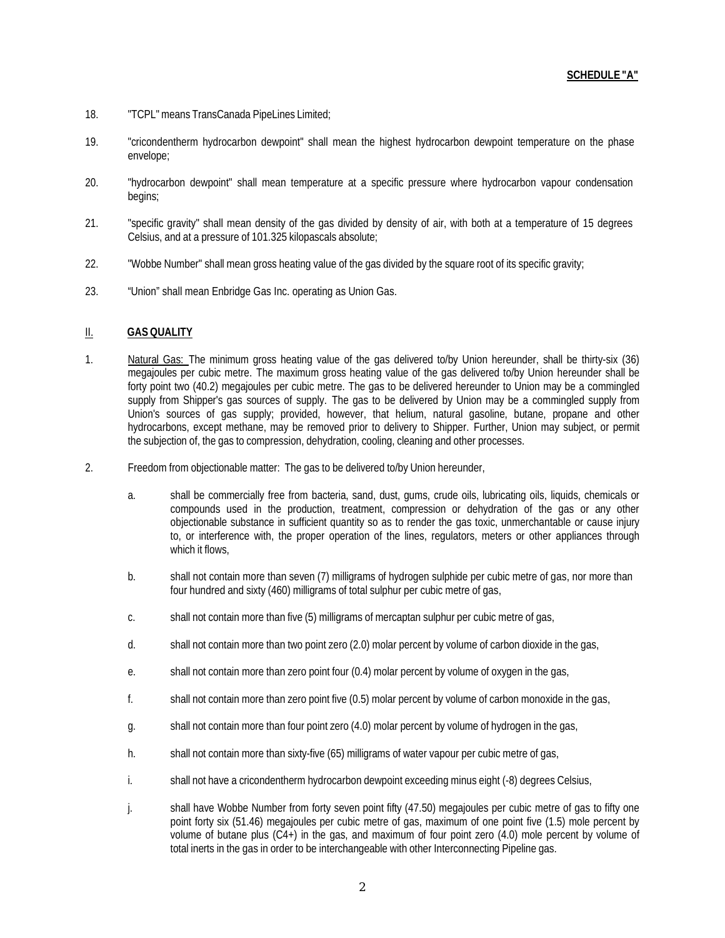- 18. "TCPL"means TransCanada PipeLines Limited;
- 19. "cricondentherm hydrocarbon dewpoint" shall mean the highest hydrocarbon dewpoint temperature on the phase envelope;
- 20. "hydrocarbon dewpoint" shall mean temperature at a specific pressure where hydrocarbon vapour condensation begins;
- 21. "specific gravity" shall mean density of the gas divided by density of air, with both at a temperature of 15 degrees Celsius, and at a pressure of 101.325 kilopascals absolute;
- 22. "Wobbe Number" shall mean gross heating value of the gas divided by the square root of its specific gravity;
- 23. "Union" shall mean Enbridge Gas Inc. operating as Union Gas.

#### II. **GAS QUALITY**

- 1. Natural Gas: The minimum gross heating value of the gas delivered to/by Union hereunder, shall be thirty-six (36) megajoules per cubic metre. The maximum gross heating value of the gas delivered to/by Union hereunder shall be forty point two (40.2) megajoules per cubic metre. The gas to be delivered hereunder to Union may be a commingled supply from Shipper's gas sources of supply. The gas to be delivered by Union may be a commingled supply from Union's sources of gas supply; provided, however, that helium, natural gasoline, butane, propane and other hydrocarbons, except methane, may be removed prior to delivery to Shipper. Further, Union may subject, or permit the subjection of, the gas to compression, dehydration, cooling, cleaning and other processes.
- 2. Freedom from objectionable matter: The gas to be delivered to/by Union hereunder,
	- a. shall be commercially free from bacteria, sand, dust, gums, crude oils, lubricating oils, liquids, chemicals or compounds used in the production, treatment, compression or dehydration of the gas or any other objectionable substance in sufficient quantity so as to render the gas toxic, unmerchantable or cause injury to, or interference with, the proper operation of the lines, regulators, meters or other appliances through which it flows,
	- b. shall not contain more than seven (7) milligrams of hydrogen sulphide per cubic metre of gas, nor more than four hundred and sixty (460) milligrams of total sulphur per cubic metre of gas,
	- c. shall not contain more than five (5) milligrams of mercaptan sulphur per cubic metre of gas,
	- d. shall not contain more than two point zero (2.0) molar percent by volume of carbon dioxide in the gas,
	- e. shall not contain more than zero point four (0.4) molar percent by volume of oxygen in the gas,
	- f. shall not contain more than zero point five (0.5) molar percent by volume of carbon monoxide in the gas,
	- g. shall not contain more than four point zero (4.0) molar percent by volume of hydrogen in the gas,
	- h. shall not contain more than sixty-five (65) milligrams of water vapour per cubic metre of gas,
	- i. shall not have a cricondentherm hydrocarbon dewpoint exceeding minus eight (-8) degrees Celsius,
	- j. shall have Wobbe Number from forty seven point fifty (47.50) megajoules per cubic metre of gas to fifty one point forty six (51.46) megajoules per cubic metre of gas, maximum of one point five (1.5) mole percent by volume of butane plus (C4+) in the gas, and maximum of four point zero (4.0) mole percent by volume of total inerts in the gas in order to be interchangeable with other Interconnecting Pipeline gas.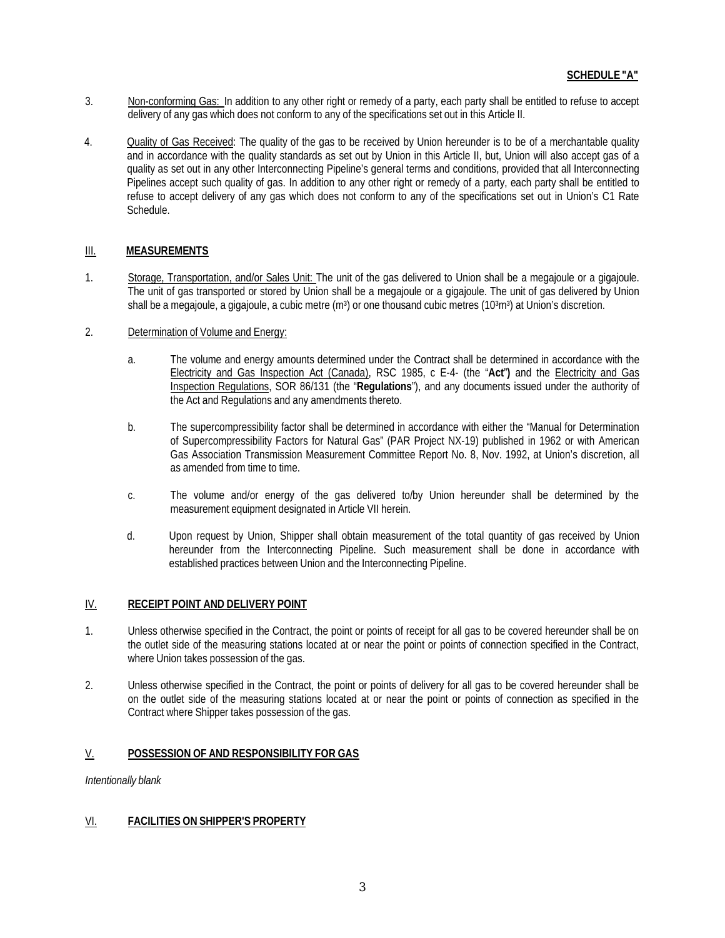- 3. Non-conforming Gas: In addition to any other right or remedy of a party, each party shall be entitled to refuse to accept delivery of any gas which does not conform to any of the specifications set out in this Article II.
- 4. Quality of Gas Received: The quality of the gas to be received by Union hereunder is to be of a merchantable quality and in accordance with the quality standards as set out by Union in this Article II, but, Union will also accept gas of a quality as set out in any other Interconnecting Pipeline's general terms and conditions, provided that all Interconnecting Pipelines accept such quality of gas. In addition to any other right or remedy of a party, each party shall be entitled to refuse to accept delivery of any gas which does not conform to any of the specifications set out in Union's C1 Rate Schedule.

## III. **MEASUREMENTS**

- 1. Storage, Transportation, and/or Sales Unit: The unit of the gas delivered to Union shall be a megajoule or a gigajoule. The unit of gas transported or stored by Union shall be a megajoule or a gigajoule. The unit of gas delivered by Union shall be a megajoule, a gigajoule, a cubic metre  $(m<sup>3</sup>)$  or one thousand cubic metres (10 $<sup>3</sup>m<sup>3</sup>$ ) at Union's discretion.</sup>
- 2. Determination of Volume and Energy:
	- a. The volume and energy amounts determined under the Contract shall be determined in accordance with the Electricity and Gas Inspection Act (Canada), RSC 1985, c E-4- (the "**Act**"**)** and the Electricity and Gas Inspection Regulations, SOR 86/131 (the "**Regulations**"), and any documents issued under the authority of the Act and Regulations and any amendments thereto.
	- b. The supercompressibility factor shall be determined in accordance with either the "Manual for Determination of Supercompressibility Factors for Natural Gas" (PAR Project NX-19) published in 1962 or with American Gas Association Transmission Measurement Committee Report No. 8, Nov. 1992, at Union's discretion, all as amended from time to time.
	- c. The volume and/or energy of the gas delivered to/by Union hereunder shall be determined by the measurement equipment designated in Article VII herein.
	- d. Upon request by Union, Shipper shall obtain measurement of the total quantity of gas received by Union hereunder from the Interconnecting Pipeline. Such measurement shall be done in accordance with established practices between Union and the Interconnecting Pipeline.

#### IV. **RECEIPT POINT AND DELIVERY POINT**

- 1. Unless otherwise specified in the Contract, the point or points of receipt for all gas to be covered hereunder shall be on the outlet side of the measuring stations located at or near the point or points of connection specified in the Contract, where Union takes possession of the gas.
- 2. Unless otherwise specified in the Contract, the point or points of delivery for all gas to be covered hereunder shall be on the outlet side of the measuring stations located at or near the point or points of connection as specified in the Contract where Shipper takes possession of the gas.

#### V. **POSSESSION OF AND RESPONSIBILITY FOR GAS**

*Intentionally blank*

#### VI. **FACILITIES ON SHIPPER'S PROPERTY**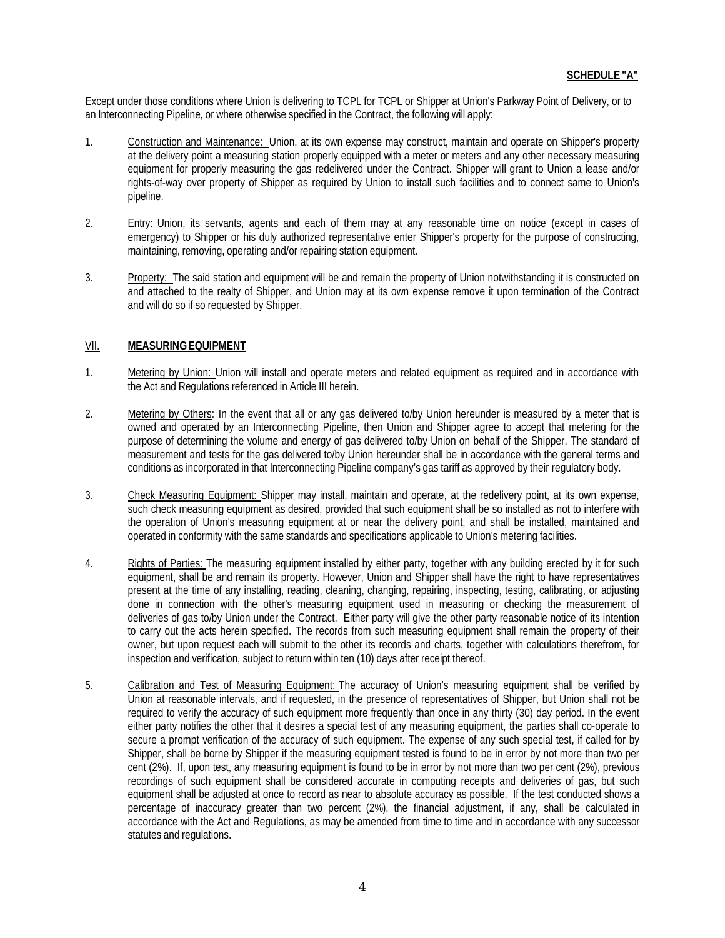Except under those conditions where Union is delivering to TCPL for TCPL or Shipper at Union's Parkway Point of Delivery, or to an Interconnecting Pipeline, or where otherwise specified in the Contract, the following will apply:

- 1. Construction and Maintenance: Union, at its own expense may construct, maintain and operate on Shipper's property at the delivery point a measuring station properly equipped with a meter or meters and any other necessary measuring equipment for properly measuring the gas redelivered under the Contract. Shipper will grant to Union a lease and/or rights-of-way over property of Shipper as required by Union to install such facilities and to connect same to Union's pipeline.
- 2. Entry: Union, its servants, agents and each of them may at any reasonable time on notice (except in cases of emergency) to Shipper or his duly authorized representative enter Shipper's property for the purpose of constructing, maintaining, removing, operating and/or repairing station equipment.
- 3. Property: The said station and equipment will be and remain the property of Union notwithstanding it is constructed on and attached to the realty of Shipper, and Union may at its own expense remove it upon termination of the Contract and will do so if so requested by Shipper.

#### VII. **MEASURINGEQUIPMENT**

- 1. Metering by Union: Union will install and operate meters and related equipment as required and in accordance with the Act and Regulations referenced in Article III herein.
- 2. Metering by Others: In the event that all or any gas delivered to/by Union hereunder is measured by a meter that is owned and operated by an Interconnecting Pipeline, then Union and Shipper agree to accept that metering for the purpose of determining the volume and energy of gas delivered to/by Union on behalf of the Shipper. The standard of measurement and tests for the gas delivered to/by Union hereunder shall be in accordance with the general terms and conditions as incorporated in that Interconnecting Pipeline company's gas tariff as approved by their regulatory body.
- 3. Check Measuring Equipment: Shipper may install, maintain and operate, at the redelivery point, at its own expense, such check measuring equipment as desired, provided that such equipment shall be so installed as not to interfere with the operation of Union's measuring equipment at or near the delivery point, and shall be installed, maintained and operated in conformity with the same standards and specifications applicable to Union's metering facilities.
- 4. Rights of Parties: The measuring equipment installed by either party, together with any building erected by it for such equipment, shall be and remain its property. However, Union and Shipper shall have the right to have representatives present at the time of any installing, reading, cleaning, changing, repairing, inspecting, testing, calibrating, or adjusting done in connection with the other's measuring equipment used in measuring or checking the measurement of deliveries of gas to/by Union under the Contract. Either party will give the other party reasonable notice of its intention to carry out the acts herein specified. The records from such measuring equipment shall remain the property of their owner, but upon request each will submit to the other its records and charts, together with calculations therefrom, for inspection and verification, subject to return within ten (10) days after receipt thereof.
- 5. Calibration and Test of Measuring Equipment: The accuracy of Union's measuring equipment shall be verified by Union at reasonable intervals, and if requested, in the presence of representatives of Shipper, but Union shall not be required to verify the accuracy of such equipment more frequently than once in any thirty (30) day period. In the event either party notifies the other that it desires a special test of any measuring equipment, the parties shall co-operate to secure a prompt verification of the accuracy of such equipment. The expense of any such special test, if called for by Shipper, shall be borne by Shipper if the measuring equipment tested is found to be in error by not more than two per cent (2%). If, upon test, any measuring equipment is found to be in error by not more than two per cent (2%), previous recordings of such equipment shall be considered accurate in computing receipts and deliveries of gas, but such equipment shall be adjusted at once to record as near to absolute accuracy as possible. If the test conducted shows a percentage of inaccuracy greater than two percent (2%), the financial adjustment, if any, shall be calculated in accordance with the Act and Regulations, as may be amended from time to time and in accordance with any successor statutes and regulations.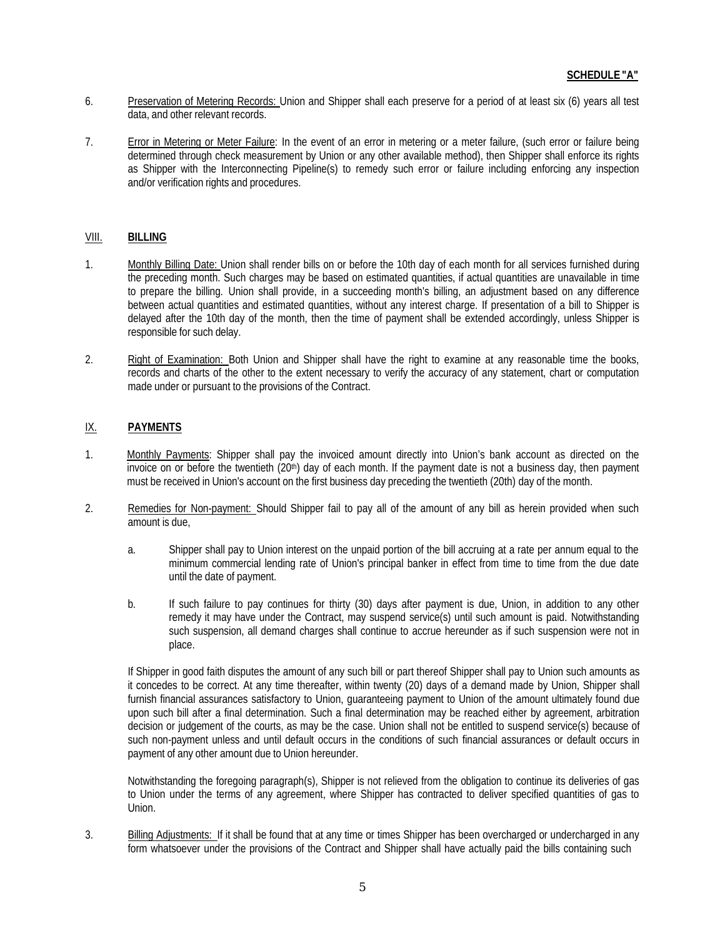- 6. Preservation of Metering Records: Union and Shipper shall each preserve for a period of at least six (6) years all test data, and other relevant records.
- 7. Error in Metering or Meter Failure: In the event of an error in metering or a meter failure, (such error or failure being determined through check measurement by Union or any other available method), then Shipper shall enforce its rights as Shipper with the Interconnecting Pipeline(s) to remedy such error or failure including enforcing any inspection and/or verification rights and procedures.

#### VIII. **BILLING**

- 1. Monthly Billing Date: Union shall render bills on or before the 10th day of each month for all services furnished during the preceding month. Such charges may be based on estimated quantities, if actual quantities are unavailable in time to prepare the billing. Union shall provide, in a succeeding month's billing, an adjustment based on any difference between actual quantities and estimated quantities, without any interest charge. If presentation of a bill to Shipper is delayed after the 10th day of the month, then the time of payment shall be extended accordingly, unless Shipper is responsible for such delay.
- 2. Right of Examination: Both Union and Shipper shall have the right to examine at any reasonable time the books, records and charts of the other to the extent necessary to verify the accuracy of any statement, chart or computation made under or pursuant to the provisions of the Contract.

# IX. **PAYMENTS**

- 1. Monthly Payments: Shipper shall pay the invoiced amount directly into Union's bank account as directed on the invoice on or before the twentieth (20<sup>th</sup>) day of each month. If the payment date is not a business day, then payment must be received in Union's account on the first business day preceding the twentieth (20th) day of the month.
- 2. Remedies for Non-payment: Should Shipper fail to pay all of the amount of any bill as herein provided when such amount is due,
	- a. Shipper shall pay to Union interest on the unpaid portion of the bill accruing at a rate per annum equal to the minimum commercial lending rate of Union's principal banker in effect from time to time from the due date until the date of payment.
	- b. If such failure to pay continues for thirty (30) days after payment is due, Union, in addition to any other remedy it may have under the Contract, may suspend service(s) until such amount is paid. Notwithstanding such suspension, all demand charges shall continue to accrue hereunder as if such suspension were not in place.

If Shipper in good faith disputes the amount of any such bill or part thereof Shipper shall pay to Union such amounts as it concedes to be correct. At any time thereafter, within twenty (20) days of a demand made by Union, Shipper shall furnish financial assurances satisfactory to Union, guaranteeing payment to Union of the amount ultimately found due upon such bill after a final determination. Such a final determination may be reached either by agreement, arbitration decision or judgement of the courts, as may be the case. Union shall not be entitled to suspend service(s) because of such non-payment unless and until default occurs in the conditions of such financial assurances or default occurs in payment of any other amount due to Union hereunder.

Notwithstanding the foregoing paragraph(s), Shipper is not relieved from the obligation to continue its deliveries of gas to Union under the terms of any agreement, where Shipper has contracted to deliver specified quantities of gas to Union.

3. Billing Adjustments: If it shall be found that at any time or times Shipper has been overcharged or undercharged in any form whatsoever under the provisions of the Contract and Shipper shall have actually paid the bills containing such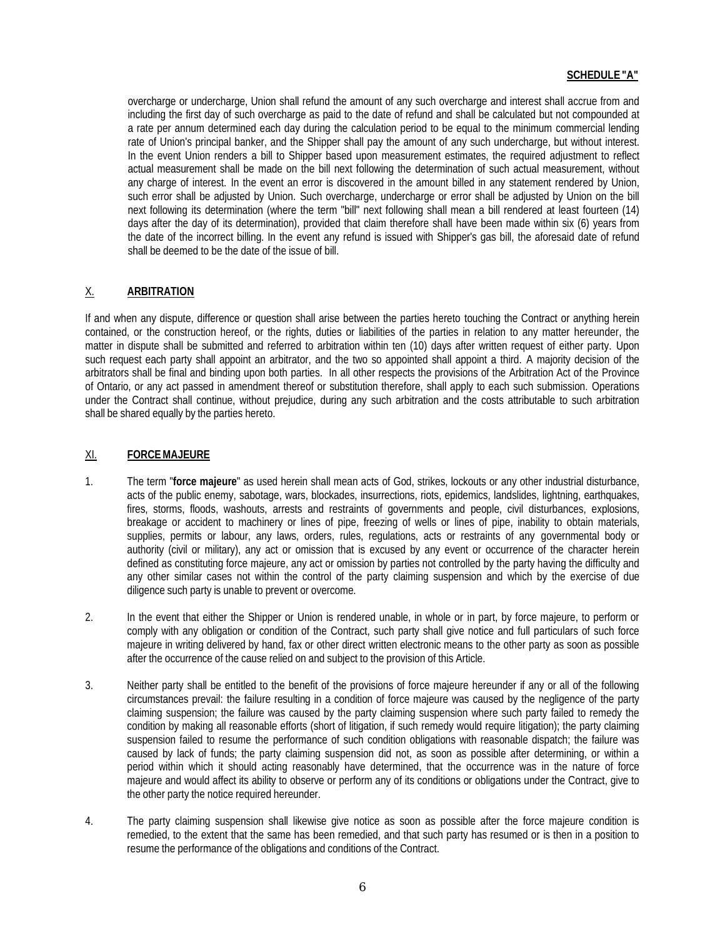# **SCHEDULE "A"**

overcharge or undercharge, Union shall refund the amount of any such overcharge and interest shall accrue from and including the first day of such overcharge as paid to the date of refund and shall be calculated but not compounded at a rate per annum determined each day during the calculation period to be equal to the minimum commercial lending rate of Union's principal banker, and the Shipper shall pay the amount of any such undercharge, but without interest. In the event Union renders a bill to Shipper based upon measurement estimates, the required adjustment to reflect actual measurement shall be made on the bill next following the determination of such actual measurement, without any charge of interest. In the event an error is discovered in the amount billed in any statement rendered by Union, such error shall be adjusted by Union. Such overcharge, undercharge or error shall be adjusted by Union on the bill next following its determination (where the term "bill" next following shall mean a bill rendered at least fourteen (14) days after the day of its determination), provided that claim therefore shall have been made within six (6) years from the date of the incorrect billing. In the event any refund is issued with Shipper's gas bill, the aforesaid date of refund shall be deemed to be the date of the issue of bill.

# X. **ARBITRATION**

If and when any dispute, difference or question shall arise between the parties hereto touching the Contract or anything herein contained, or the construction hereof, or the rights, duties or liabilities of the parties in relation to any matter hereunder, the matter in dispute shall be submitted and referred to arbitration within ten (10) days after written request of either party. Upon such request each party shall appoint an arbitrator, and the two so appointed shall appoint a third. A majority decision of the arbitrators shall be final and binding upon both parties. In all other respects the provisions of the Arbitration Act of the Province of Ontario, or any act passed in amendment thereof or substitution therefore, shall apply to each such submission. Operations under the Contract shall continue, without prejudice, during any such arbitration and the costs attributable to such arbitration shall be shared equally by the parties hereto.

## XI. **FORCEMAJEURE**

- 1. The term "**force majeure**" as used herein shall mean acts of God, strikes, lockouts or any other industrial disturbance, acts of the public enemy, sabotage, wars, blockades, insurrections, riots, epidemics, landslides, lightning, earthquakes, fires, storms, floods, washouts, arrests and restraints of governments and people, civil disturbances, explosions, breakage or accident to machinery or lines of pipe, freezing of wells or lines of pipe, inability to obtain materials, supplies, permits or labour, any laws, orders, rules, regulations, acts or restraints of any governmental body or authority (civil or military), any act or omission that is excused by any event or occurrence of the character herein defined as constituting force majeure, any act or omission by parties not controlled by the party having the difficulty and any other similar cases not within the control of the party claiming suspension and which by the exercise of due diligence such party is unable to prevent or overcome.
- 2. In the event that either the Shipper or Union is rendered unable, in whole or in part, by force majeure, to perform or comply with any obligation or condition of the Contract, such party shall give notice and full particulars of such force majeure in writing delivered by hand, fax or other direct written electronic means to the other party as soon as possible after the occurrence of the cause relied on and subject to the provision of this Article.
- 3. Neither party shall be entitled to the benefit of the provisions of force majeure hereunder if any or all of the following circumstances prevail: the failure resulting in a condition of force majeure was caused by the negligence of the party claiming suspension; the failure was caused by the party claiming suspension where such party failed to remedy the condition by making all reasonable efforts (short of litigation, if such remedy would require litigation); the party claiming suspension failed to resume the performance of such condition obligations with reasonable dispatch; the failure was caused by lack of funds; the party claiming suspension did not, as soon as possible after determining, or within a period within which it should acting reasonably have determined, that the occurrence was in the nature of force majeure and would affect its ability to observe or perform any of its conditions or obligations under the Contract, give to the other party the notice required hereunder.
- 4. The party claiming suspension shall likewise give notice as soon as possible after the force majeure condition is remedied, to the extent that the same has been remedied, and that such party has resumed or is then in a position to resume the performance of the obligations and conditions of the Contract.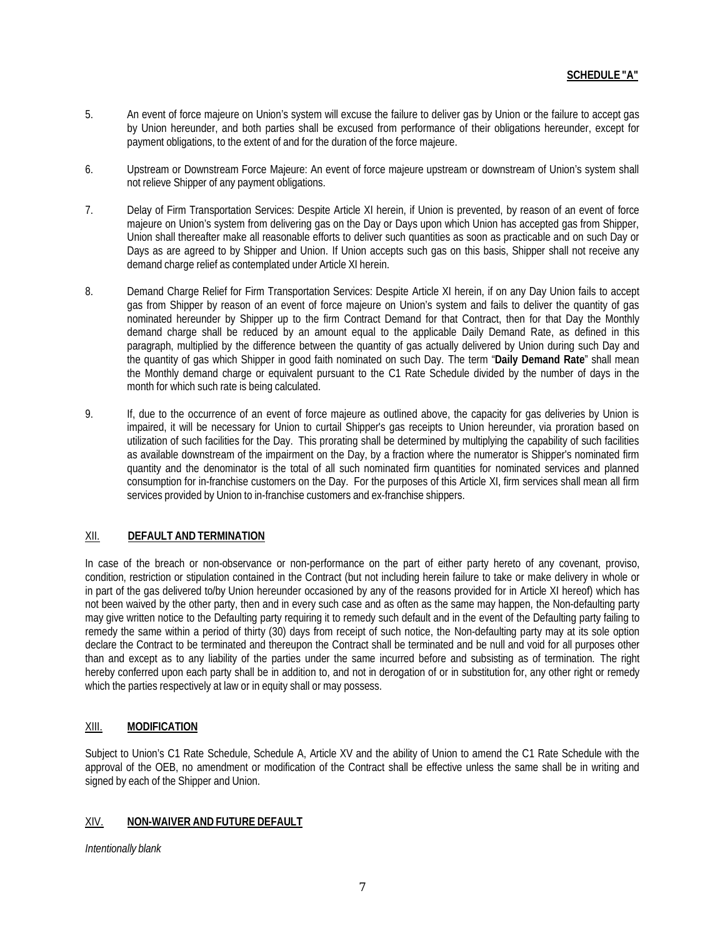- 5. An event of force majeure on Union's system will excuse the failure to deliver gas by Union or the failure to accept gas by Union hereunder, and both parties shall be excused from performance of their obligations hereunder, except for payment obligations, to the extent of and for the duration of the force majeure.
- 6. Upstream or Downstream Force Majeure: An event of force majeure upstream or downstream of Union's system shall not relieve Shipper of any payment obligations.
- 7. Delay of Firm Transportation Services: Despite Article XI herein, if Union is prevented, by reason of an event of force majeure on Union's system from delivering gas on the Day or Days upon which Union has accepted gas from Shipper, Union shall thereafter make all reasonable efforts to deliver such quantities as soon as practicable and on such Day or Days as are agreed to by Shipper and Union. If Union accepts such gas on this basis, Shipper shall not receive any demand charge relief as contemplated under Article XI herein.
- 8. Demand Charge Relief for Firm Transportation Services: Despite Article XI herein, if on any Day Union fails to accept gas from Shipper by reason of an event of force majeure on Union's system and fails to deliver the quantity of gas nominated hereunder by Shipper up to the firm Contract Demand for that Contract, then for that Day the Monthly demand charge shall be reduced by an amount equal to the applicable Daily Demand Rate, as defined in this paragraph, multiplied by the difference between the quantity of gas actually delivered by Union during such Day and the quantity of gas which Shipper in good faith nominated on such Day. The term "**Daily Demand Rate**" shall mean the Monthly demand charge or equivalent pursuant to the C1 Rate Schedule divided by the number of days in the month for which such rate is being calculated.
- 9. If, due to the occurrence of an event of force majeure as outlined above, the capacity for gas deliveries by Union is impaired, it will be necessary for Union to curtail Shipper's gas receipts to Union hereunder, via proration based on utilization of such facilities for the Day. This prorating shall be determined by multiplying the capability of such facilities as available downstream of the impairment on the Day, by a fraction where the numerator is Shipper's nominated firm quantity and the denominator is the total of all such nominated firm quantities for nominated services and planned consumption for in-franchise customers on the Day. For the purposes of this Article XI, firm services shall mean all firm services provided by Union to in-franchise customers and ex-franchise shippers.

# XII. **DEFAULT AND TERMINATION**

In case of the breach or non-observance or non-performance on the part of either party hereto of any covenant, proviso, condition, restriction or stipulation contained in the Contract (but not including herein failure to take or make delivery in whole or in part of the gas delivered to/by Union hereunder occasioned by any of the reasons provided for in Article XI hereof) which has not been waived by the other party, then and in every such case and as often as the same may happen, the Non-defaulting party may give written notice to the Defaulting party requiring it to remedy such default and in the event of the Defaulting party failing to remedy the same within a period of thirty (30) days from receipt of such notice, the Non-defaulting party may at its sole option declare the Contract to be terminated and thereupon the Contract shall be terminated and be null and void for all purposes other than and except as to any liability of the parties under the same incurred before and subsisting as of termination. The right hereby conferred upon each party shall be in addition to, and not in derogation of or in substitution for, any other right or remedy which the parties respectively at law or in equity shall or may possess.

# XIII. **MODIFICATION**

Subject to Union's C1 Rate Schedule, Schedule A, Article XV and the ability of Union to amend the C1 Rate Schedule with the approval of the OEB, no amendment or modification of the Contract shall be effective unless the same shall be in writing and signed by each of the Shipper and Union.

#### XIV. **NON-WAIVER AND FUTURE DEFAULT**

*Intentionally blank*